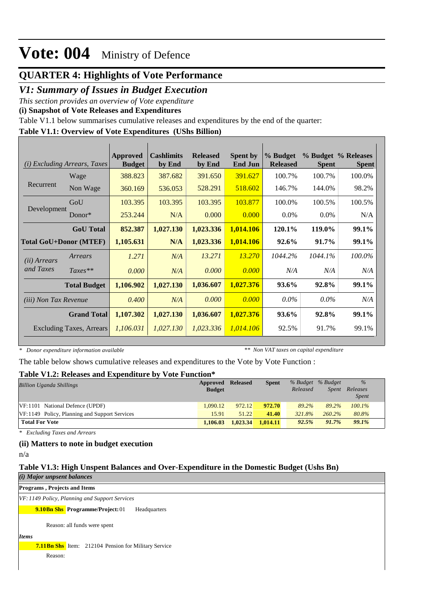## **QUARTER 4: Highlights of Vote Performance**

## *V1: Summary of Issues in Budget Execution*

*This section provides an overview of Vote expenditure* 

**(i) Snapshot of Vote Releases and Expenditures**

Table V1.1 below summarises cumulative releases and expenditures by the end of the quarter:

### **Table V1.1: Overview of Vote Expenditures (UShs Billion)**

|                               | ( <i>i</i> ) Excluding Arrears, Taxes | Approved<br><b>Budget</b> | <b>Cashlimits</b><br>by End | <b>Released</b><br>by End | <b>Spent by</b><br><b>End Jun</b> | % Budget<br><b>Released</b> | <b>Spent</b> | % Budget % Releases<br><b>Spent</b> |
|-------------------------------|---------------------------------------|---------------------------|-----------------------------|---------------------------|-----------------------------------|-----------------------------|--------------|-------------------------------------|
|                               | Wage                                  | 388.823                   | 387.682                     | 391.650                   | 391.627                           | 100.7%                      | 100.7%       | 100.0%                              |
| Recurrent                     | Non Wage                              | 360.169                   | 536.053                     | 528.291                   | 518.602                           | 146.7%                      | 144.0%       | 98.2%                               |
|                               | GoU                                   | 103.395                   | 103.395                     | 103.395                   | 103.877                           | 100.0%                      | 100.5%       | 100.5%                              |
| Development                   | Donor $*$                             | 253.244                   | N/A                         | 0.000                     | 0.000                             | $0.0\%$                     | $0.0\%$      | N/A                                 |
|                               | <b>GoU</b> Total                      | 852.387                   | 1,027.130                   | 1,023.336                 | 1,014.106                         | 120.1%                      | 119.0%       | 99.1%                               |
| <b>Total GoU+Donor (MTEF)</b> |                                       | 1,105.631                 | N/A                         | 1,023.336                 | 1,014.106                         | 92.6%                       | 91.7%        | 99.1%                               |
| ( <i>ii</i> ) Arrears         | Arrears                               | 1.271                     | N/A                         | 13.271                    | 13.270                            | 1044.2%                     | 1044.1%      | 100.0%                              |
| and Taxes                     | $Taxes**$                             | 0.000                     | N/A                         | 0.000                     | 0.000                             | N/A                         | N/A          | N/A                                 |
|                               | <b>Total Budget</b>                   | 1,106.902                 | 1,027.130                   | 1,036.607                 | 1,027.376                         | 93.6%                       | 92.8%        | 99.1%                               |
| <i>(iii)</i> Non Tax Revenue  |                                       | 0.400                     | N/A                         | 0.000                     | 0.000                             | $0.0\%$                     | $0.0\%$      | N/A                                 |
|                               | <b>Grand Total</b>                    | 1,107.302                 | 1,027.130                   | 1,036.607                 | 1,027.376                         | 93.6%                       | 92.8%        | 99.1%                               |
|                               | <b>Excluding Taxes, Arrears</b>       | 1,106.031                 | 1,027.130                   | 1,023.336                 | 1,014.106                         | 92.5%                       | 91.7%        | 99.1%                               |

*\* Donor expenditure information available*

*\*\* Non VAT taxes on capital expenditure*

The table below shows cumulative releases and expenditures to the Vote by Vote Function :

#### **Table V1.2: Releases and Expenditure by Vote Function\***

| <b>Billion Uganda Shillings</b>               | Approved      | <b>Released</b> | <b>Spent</b> |          | % Budget % Budget | $\%$         |  |
|-----------------------------------------------|---------------|-----------------|--------------|----------|-------------------|--------------|--|
|                                               | <b>Budget</b> |                 |              | Released | <i>Spent</i>      | Releases     |  |
|                                               |               |                 |              |          |                   | <i>Spent</i> |  |
| VF:1101 National Defence (UPDF)               | 1.090.12      | 972.12          | 972.70       | 89.2%    | 89.2%             | $100.1\%$    |  |
| VF:1149 Policy, Planning and Support Services | 15.91         | 51.22           | 41.40        | 321.8%   | $260.2\%$         | 80.8%        |  |
| <b>Total For Vote</b>                         | 1.106.03      | 1.023.34        | 1.014.11     | 92.5%    | 91.7%             | 99.1%        |  |

*\* Excluding Taxes and Arrears*

#### **(ii) Matters to note in budget execution**

n/a

### **Table V1.3: High Unspent Balances and Over-Expenditure in the Domestic Budget (Ushs Bn)**

*(i) Major unpsent balances*

**Programs , Projects and Items**

*VF:1149 Policy, Planning and Support Services*

**9.10Bn Shs** Programme/Project: 01 Headquarters

Reason: all funds were spent

*Items*

**7.11Bn Shs** Item: 212104 Pension for Military Service

Reason: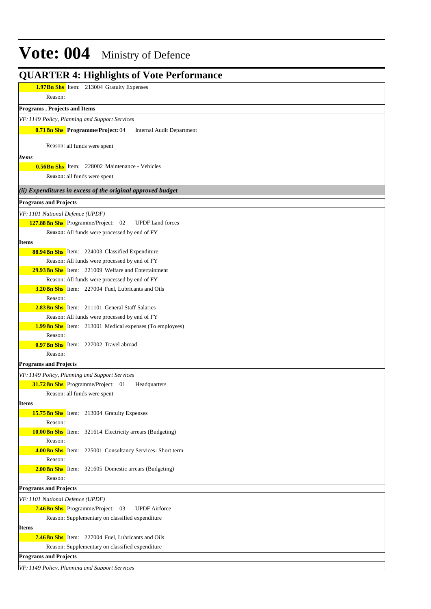| <b>1.97Bn Shs</b> Item: 213004 Gratuity Expenses                                                   |
|----------------------------------------------------------------------------------------------------|
| Reason:                                                                                            |
| Programs, Projects and Items                                                                       |
| VF: 1149 Policy, Planning and Support Services                                                     |
| <b>0.71Bn Shs</b> Programme/Project: 04<br>Internal Audit Department                               |
| Reason: all funds were spent                                                                       |
| <i>Items</i>                                                                                       |
| <b>0.56Bn Shs</b> Item: 228002 Maintenance - Vehicles<br>Reason: all funds were spent              |
| (ii) Expenditures in excess of the original approved budget                                        |
| <b>Programs and Projects</b>                                                                       |
|                                                                                                    |
| VF: 1101 National Defence (UPDF)<br>127.88 Bn Shs Programme/Project: 02<br><b>UPDF</b> Land forces |
| Reason: All funds were processed by end of FY                                                      |
| Items                                                                                              |
| 88.94Bn Shs Item: 224003 Classified Expenditure                                                    |
| Reason: All funds were processed by end of FY                                                      |
| <b>29.93Bn Shs</b> Item: 221009 Welfare and Entertainment                                          |
| Reason: All funds were processed by end of FY                                                      |
| 3.20Bn Shs Item: 227004 Fuel, Lubricants and Oils                                                  |
| Reason:                                                                                            |
| <b>2.83Bn Shs</b> Item: 211101 General Staff Salaries                                              |
| Reason: All funds were processed by end of FY                                                      |
| <b>1.99Bn Shs</b> Item: 213001 Medical expenses (To employees)                                     |
| Reason:                                                                                            |
| <b>0.97Bn Shs</b> Item: 227002 Travel abroad                                                       |
| Reason:                                                                                            |
| <b>Programs and Projects</b>                                                                       |
| VF: 1149 Policy, Planning and Support Services                                                     |
| 31.72Bn Shs Programme/Project: 01<br>Headquarters                                                  |
| Reason: all funds were spent                                                                       |
| <b>Items</b>                                                                                       |
| <b>15.75Bn Shs</b> Item: 213004 Gratuity Expenses                                                  |
| Reason:                                                                                            |
| <b>10.00Bn Shs</b> Item: 321614 Electricity arrears (Budgeting)                                    |
| Reason:                                                                                            |
| 4.00Bn Shs Item: 225001 Consultancy Services- Short term<br>Reason:                                |
| 2.00Bn Shs Item: 321605 Domestic arrears (Budgeting)                                               |
| Reason:                                                                                            |
| <b>Programs and Projects</b>                                                                       |
|                                                                                                    |
| VF: 1101 National Defence (UPDF)<br>7.46Bn Shs Programme/Project: 03<br><b>UPDF</b> Airforce       |
| Reason: Supplementary on classified expenditure                                                    |
| Items                                                                                              |
| <b>7.46Bn Shs</b> Item: 227004 Fuel, Lubricants and Oils                                           |
| Reason: Supplementary on classified expenditure                                                    |
| <b>Programs and Projects</b>                                                                       |
|                                                                                                    |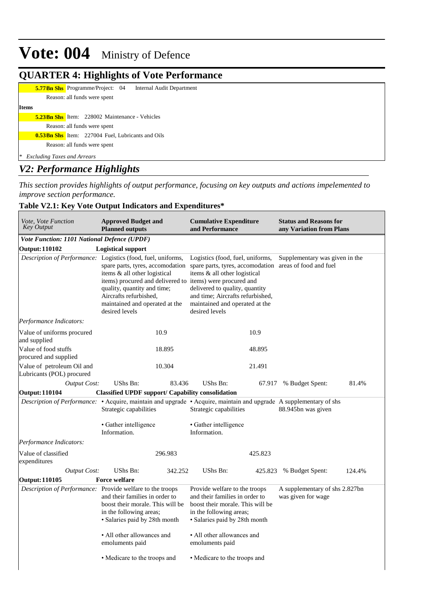### **QUARTER 4: Highlights of Vote Performance**

**5.77 Bn Shs** Programme/Project: 04 Internal Audit Department

Reason: all funds were spent **Items 5.23Bn Shs** Item: 228002 Maintenance - Vehicles

Reason: all funds were spent

**0.53Bn Shs** Item: 227004 Fuel, Lubricants and Oils

Reason: all funds were spent

*\* Excluding Taxes and Arrears*

## *V2: Performance Highlights*

*This section provides highlights of output performance, focusing on key outputs and actions impelemented to improve section performance.*

### **Table V2.1: Key Vote Output Indicators and Expenditures\***

| Vote, Vote Function<br><b>Key Output</b>                | <b>Approved Budget and</b><br><b>Planned outputs</b>                                                                                                                                                                                                                   | <b>Cumulative Expenditure</b><br>and Performance                                                                                                                                                                                                                                       | <b>Status and Reasons for</b><br>any Variation from Plans |  |  |
|---------------------------------------------------------|------------------------------------------------------------------------------------------------------------------------------------------------------------------------------------------------------------------------------------------------------------------------|----------------------------------------------------------------------------------------------------------------------------------------------------------------------------------------------------------------------------------------------------------------------------------------|-----------------------------------------------------------|--|--|
| Vote Function: 1101 National Defence (UPDF)             |                                                                                                                                                                                                                                                                        |                                                                                                                                                                                                                                                                                        |                                                           |  |  |
| <b>Output: 110102</b>                                   | <b>Logistical support</b>                                                                                                                                                                                                                                              |                                                                                                                                                                                                                                                                                        |                                                           |  |  |
|                                                         | Description of Performance: Logistics (food, fuel, uniforms,<br>items & all other logistical<br>items) procured and delivered to items) were procured and<br>quality, quantity and time;<br>Aircrafts refurbished,<br>maintained and operated at the<br>desired levels | Logistics (food, fuel, uniforms,<br>spare parts, tyres, accomodation spare parts, tyres, accomodation areas of food and fuel<br>items & all other logistical<br>delivered to quality, quantity<br>and time; Aircrafts refurbished,<br>maintained and operated at the<br>desired levels | Supplementary was given in the                            |  |  |
| Performance Indicators:                                 |                                                                                                                                                                                                                                                                        |                                                                                                                                                                                                                                                                                        |                                                           |  |  |
| Value of uniforms procured<br>and supplied              | 10.9                                                                                                                                                                                                                                                                   | 10.9                                                                                                                                                                                                                                                                                   |                                                           |  |  |
| Value of food stuffs<br>procured and supplied           | 18.895                                                                                                                                                                                                                                                                 | 48.895                                                                                                                                                                                                                                                                                 |                                                           |  |  |
| Value of petroleum Oil and<br>Lubricants (POL) procured | 10.304                                                                                                                                                                                                                                                                 | 21.491                                                                                                                                                                                                                                                                                 |                                                           |  |  |
| <b>Output Cost:</b>                                     | <b>UShs Bn:</b><br>83.436                                                                                                                                                                                                                                              | UShs Bn:                                                                                                                                                                                                                                                                               | 81.4%<br>67.917 % Budget Spent:                           |  |  |
| <b>Output: 110104</b>                                   | <b>Classified UPDF support/ Capability consolidation</b>                                                                                                                                                                                                               |                                                                                                                                                                                                                                                                                        |                                                           |  |  |
|                                                         | Strategic capabilities                                                                                                                                                                                                                                                 | Description of Performance: • Acquire, maintain and upgrade • Acquire, maintain and upgrade A supplementary of shs<br>Strategic capabilities                                                                                                                                           | 88.945bn was given                                        |  |  |
|                                                         | • Gather intelligence<br>Information.                                                                                                                                                                                                                                  | • Gather intelligence<br>Information.                                                                                                                                                                                                                                                  |                                                           |  |  |
| Performance Indicators:                                 |                                                                                                                                                                                                                                                                        |                                                                                                                                                                                                                                                                                        |                                                           |  |  |
| Value of classified<br>expenditures                     | 296.983                                                                                                                                                                                                                                                                | 425.823                                                                                                                                                                                                                                                                                |                                                           |  |  |
| <b>Output Cost:</b>                                     | <b>UShs Bn:</b><br>342.252                                                                                                                                                                                                                                             | UShs Bn:<br>425.823                                                                                                                                                                                                                                                                    | % Budget Spent:<br>124.4%                                 |  |  |
| <b>Output: 110105</b>                                   | <b>Force welfare</b>                                                                                                                                                                                                                                                   |                                                                                                                                                                                                                                                                                        |                                                           |  |  |
|                                                         | Description of Performance: Provide welfare to the troops<br>and their families in order to<br>boost their morale. This will be<br>in the following areas;<br>· Salaries paid by 28th month                                                                            | Provide welfare to the troops<br>and their families in order to<br>boost their morale. This will be<br>in the following areas;<br>· Salaries paid by 28th month                                                                                                                        | A supplementary of shs 2.827bn<br>was given for wage      |  |  |
|                                                         | • All other allowances and<br>emoluments paid                                                                                                                                                                                                                          | • All other allowances and<br>emoluments paid                                                                                                                                                                                                                                          |                                                           |  |  |
|                                                         | • Medicare to the troops and                                                                                                                                                                                                                                           | • Medicare to the troops and                                                                                                                                                                                                                                                           |                                                           |  |  |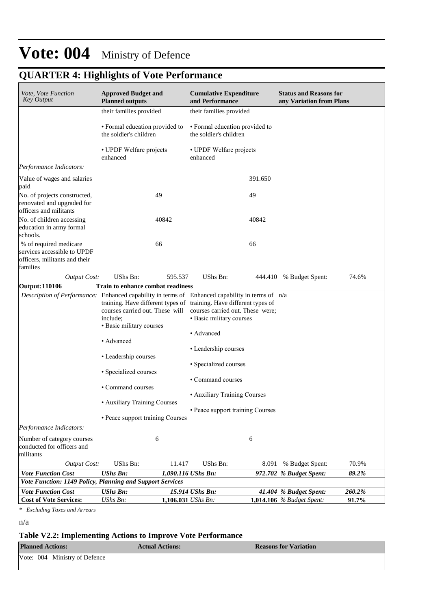# **QUARTER 4: Highlights of Vote Performance**

| Vote, Vote Function<br><b>Key Output</b>                                                           | <b>Approved Budget and</b><br><b>Planned outputs</b>                                                                                           |                    | <b>Cumulative Expenditure</b><br>and Performance             | <b>Status and Reasons for</b><br>any Variation from Plans |        |
|----------------------------------------------------------------------------------------------------|------------------------------------------------------------------------------------------------------------------------------------------------|--------------------|--------------------------------------------------------------|-----------------------------------------------------------|--------|
|                                                                                                    | their families provided                                                                                                                        |                    | their families provided                                      |                                                           |        |
|                                                                                                    | · Formal education provided to<br>the soldier's children                                                                                       |                    | • Formal education provided to<br>the soldier's children     |                                                           |        |
|                                                                                                    | • UPDF Welfare projects<br>enhanced                                                                                                            | enhanced           | • UPDF Welfare projects                                      |                                                           |        |
| Performance Indicators:                                                                            |                                                                                                                                                |                    |                                                              |                                                           |        |
| Value of wages and salaries<br>paid                                                                |                                                                                                                                                |                    | 391.650                                                      |                                                           |        |
| No. of projects constructed,<br>renovated and upgraded for<br>officers and militants               | 49                                                                                                                                             |                    | 49                                                           |                                                           |        |
| No. of children accessing<br>education in army formal<br>schools.                                  | 40842                                                                                                                                          |                    | 40842                                                        |                                                           |        |
| % of required medicare<br>services accessible to UPDF<br>officers, militants and their<br>families | 66                                                                                                                                             |                    | 66                                                           |                                                           |        |
| <b>Output Cost:</b>                                                                                | <b>UShs Bn:</b>                                                                                                                                | 595.537            | UShs Bn:                                                     | 444.410 % Budget Spent:                                   | 74.6%  |
| <b>Output: 110106</b>                                                                              | <b>Train to enhance combat readiness</b>                                                                                                       |                    |                                                              |                                                           |        |
| Description of Performance: Enhanced capability in terms of Enhanced capability in terms of n/a    | training. Have different types of training. Have different types of<br>courses carried out. These will<br>include:<br>· Basic military courses | • Advanced         | courses carried out. These were;<br>• Basic military courses |                                                           |        |
|                                                                                                    | • Advanced                                                                                                                                     |                    | • Leadership courses                                         |                                                           |        |
|                                                                                                    | • Leadership courses                                                                                                                           |                    | • Specialized courses                                        |                                                           |        |
|                                                                                                    | • Specialized courses                                                                                                                          |                    | • Command courses                                            |                                                           |        |
|                                                                                                    | • Command courses                                                                                                                              |                    |                                                              |                                                           |        |
|                                                                                                    | • Auxiliary Training Courses                                                                                                                   |                    | • Auxiliary Training Courses                                 |                                                           |        |
|                                                                                                    | • Peace support training Courses                                                                                                               |                    | • Peace support training Courses                             |                                                           |        |
| Performance Indicators:                                                                            |                                                                                                                                                |                    |                                                              |                                                           |        |
| Number of category courses<br>conducted for officers and<br>militants                              | 6                                                                                                                                              |                    | 6                                                            |                                                           |        |
| <b>Output Cost:</b>                                                                                | UShs Bn:                                                                                                                                       | 11.417             | UShs Bn:<br>8.091                                            | % Budget Spent:                                           | 70.9%  |
| <b>Vote Function Cost</b>                                                                          | <b>UShs Bn:</b>                                                                                                                                | 1,090.116 UShs Bn: |                                                              | 972.702 % Budget Spent:                                   | 89.2%  |
| Vote Function: 1149 Policy, Planning and Support Services                                          |                                                                                                                                                |                    |                                                              |                                                           |        |
| <b>Vote Function Cost</b>                                                                          | <b>UShs Bn:</b>                                                                                                                                | 15.914 UShs Bn:    |                                                              | 41.404 % Budget Spent:                                    | 260.2% |
| <b>Cost of Vote Services:</b>                                                                      | UShs Bn:                                                                                                                                       | 1,106.031 UShs Bn: |                                                              | <b>1,014.106</b> % Budget Spent:                          | 91.7%  |

*\* Excluding Taxes and Arrears*

n/a

### **Table V2.2: Implementing Actions to Improve Vote Performance**

| <b>Planned Actions:</b>       | <b>Actual Actions:</b> | <b>Reasons for Variation</b> |  |  |
|-------------------------------|------------------------|------------------------------|--|--|
| Vote: 004 Ministry of Defence |                        |                              |  |  |

 $\overline{\phantom{a}}$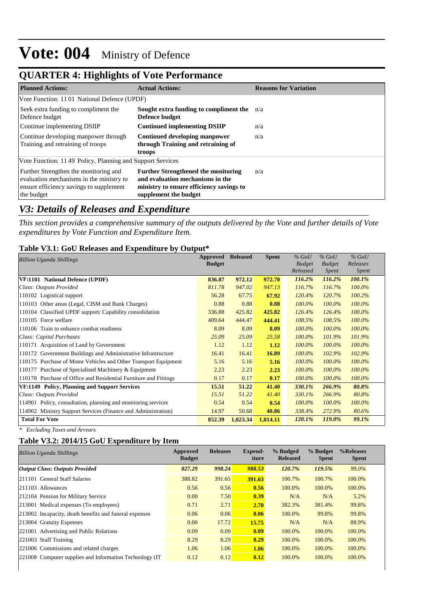## **QUARTER 4: Highlights of Vote Performance**

| <b>Planned Actions:</b>                                                                                                                    | <b>Actual Actions:</b>                                                                                                                              | <b>Reasons for Variation</b> |
|--------------------------------------------------------------------------------------------------------------------------------------------|-----------------------------------------------------------------------------------------------------------------------------------------------------|------------------------------|
| Vote Function: 1101 National Defence (UPDF)                                                                                                |                                                                                                                                                     |                              |
| Seek extra funding to compliment the<br>Defence budget                                                                                     | Sought extra funding to compliment the<br>Defence budget                                                                                            | n/a                          |
| Continue implementing DSIIP                                                                                                                | <b>Continued implementing DSIIP</b>                                                                                                                 | n/a                          |
| Continue developing manpower through<br>Training and retraining of troops                                                                  | <b>Continued developing manpower</b><br>through Training and retraining of<br>troops                                                                | n/a                          |
| Vote Function: 1149 Policy, Planning and Support Services                                                                                  |                                                                                                                                                     |                              |
| Further Strengthen the monitoring and<br>evaluation mechanisms in the ministry to<br>ensure efficiency savings to supplement<br>the budget | <b>Further Strengthened the monitoring</b><br>and evaluation mechanisms in the<br>ministry to ensure efficiency savings to<br>supplement the budget | n/a                          |

## *V3: Details of Releases and Expenditure*

*This section provides a comprehensive summary of the outputs delivered by the Vote and further details of Vote expenditures by Vote Function and Expenditure Item.*

### **Table V3.1: GoU Releases and Expenditure by Output\***

| <b>Billion Uganda Shillings</b>                                  | Approved      | <b>Released</b> | <b>Spent</b> | $%$ GoU                   | $%$ GoU                | $%$ GoU<br>Releases |
|------------------------------------------------------------------|---------------|-----------------|--------------|---------------------------|------------------------|---------------------|
|                                                                  | <b>Budget</b> |                 |              | <b>Budget</b><br>Released | <b>Budget</b><br>Spent | <i>Spent</i>        |
| VF:1101 National Defence (UPDF)                                  | 836.87        | 972.12          | 972.70       | 116.2%                    | 116.2%                 | 100.1%              |
| Class: Outputs Provided                                          | 811.78        | 947.02          | 947.13       | 116.7%                    | 116.7%                 | 100.0%              |
| 110102 Logistical support                                        | 56.28         | 67.75           | 67.92        | 120.4%                    | 120.7%                 | 100.2%              |
| 110103 Other areas (Legal, CISM and Bank Charges)                | 0.88          | 0.88            | 0.88         | $100.0\%$                 | 100.0%                 | 100.0%              |
| 110104 Classified UPDF support/ Capability consolidation         | 336.88        | 425.82          | 425.82       | 126.4%                    | 126.4%                 | 100.0%              |
| 110105 Force welfare                                             | 409.64        | 444.47          | 444.41       | 108.5%                    | 108.5%                 | 100.0%              |
| 110106 Train to enhance combat readiness                         | 8.09          | 8.09            | 8.09         | $100.0\%$                 | 100.0%                 | 100.0%              |
| Class: Capital Purchases                                         | 25.09         | 25.09           | 25.58        | 100.0%                    | 101.9%                 | 101.9%              |
| 110171 Acquisition of Land by Government                         | 1.12          | 1.12            | 1.12         | $100.0\%$                 | $100.0\%$              | 100.0%              |
| 110172 Government Buildings and Administrative Infrastructure    | 16.41         | 16.41           | 16.89        | 100.0%                    | 102.9%                 | 102.9%              |
| 110175 Purchase of Motor Vehicles and Other Transport Equipment  | 5.16          | 5.16            | 5.16         | $100.0\%$                 | 100.0%                 | 100.0%              |
| 110177 Purchase of Specialised Machinery & Equipment             | 2.23          | 2.23            | 2.23         | 100.0%                    | 100.0%                 | 100.0%              |
| 110178 Purchase of Office and Residential Furniture and Fittings | 0.17          | 0.17            | 0.17         | 100.0%                    | 100.0%                 | 100.0%              |
| VF:1149 Policy, Planning and Support Services                    | 15.51         | 51.22           | 41.40        | 330.1%                    | 266.9%                 | 80.8%               |
| Class: Outputs Provided                                          | 15.51         | 51.22           | 41.40        | 330.1%                    | 266.9%                 | 80.8%               |
| 114901 Policy, consultation, planning and monitoring services    | 0.54          | 0.54            | 0.54         | 100.0%                    | 100.0%                 | 100.0%              |
| 114902 Ministry Support Services (Finance and Administration)    | 14.97         | 50.68           | 40.86        | 338.4%                    | 272.9%                 | 80.6%               |
| <b>Total For Vote</b>                                            | 852.39        | 1,023.34        | 1,014.11     | 120.1%                    | 119.0%                 | 99.1%               |

*\* Excluding Taxes and Arrears*

### **Table V3.2: 2014/15 GoU Expenditure by Item**

| <b>Billion Uganda Shillings</b>                          | Approved<br><b>Budget</b> | <b>Releases</b> | Expend-<br>iture | % Budged<br><b>Released</b> | % Budget<br><b>Spent</b> | %Releases<br><b>Spent</b> |
|----------------------------------------------------------|---------------------------|-----------------|------------------|-----------------------------|--------------------------|---------------------------|
| <b>Output Class: Outputs Provided</b>                    | 827.29                    | 998.24          | 988.53           | 120.7%                      | 119.5%                   | 99.0%                     |
| 211101 General Staff Salaries                            | 388.82                    | 391.65          | 391.63           | 100.7%                      | 100.7%                   | 100.0%                    |
| 211103 Allowances                                        | 0.56                      | 0.56            | 0.56             | 100.0%                      | 100.0%                   | 100.0%                    |
| 212104 Pension for Military Service                      | 0.00                      | 7.50            | 0.39             | N/A                         | N/A                      | 5.2%                      |
| 213001 Medical expenses (To employees)                   | 0.71                      | 2.71            | 2.70             | 382.3%                      | 381.4%                   | 99.8%                     |
| 213002 Incapacity, death benefits and funeral expenses   | 0.06                      | 0.06            | 0.06             | 100.0%                      | 99.8%                    | 99.8%                     |
| 213004 Gratuity Expenses                                 | 0.00                      | 17.72           | 15.75            | N/A                         | N/A                      | 88.9%                     |
| 221001 Advertising and Public Relations                  | 0.09                      | 0.09            | 0.09             | 100.0%                      | 100.0%                   | 100.0%                    |
| 221003 Staff Training                                    | 8.29                      | 8.29            | 8.29             | 100.0%                      | 100.0%                   | 100.0%                    |
| 221006 Commissions and related charges                   | 1.06                      | 1.06            | 1.06             | 100.0%                      | 100.0%                   | 100.0%                    |
| 221008 Computer supplies and Information Technology (IT) | 0.12                      | 0.12            | 0.12             | 100.0%                      | 100.0%                   | 100.0%                    |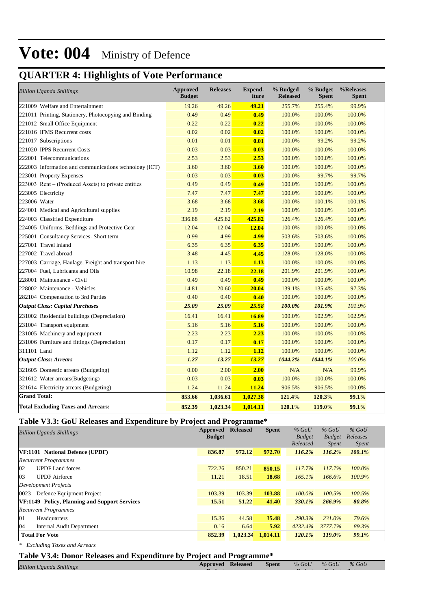# **QUARTER 4: Highlights of Vote Performance**

| <b>Billion Uganda Shillings</b>                        | <b>Approved</b><br><b>Budget</b> | <b>Releases</b> | <b>Expend-</b><br>iture | % Budged<br><b>Released</b> | % Budget<br><b>Spent</b> | %Releases<br><b>Spent</b> |
|--------------------------------------------------------|----------------------------------|-----------------|-------------------------|-----------------------------|--------------------------|---------------------------|
| 221009 Welfare and Entertainment                       | 19.26                            | 49.26           | 49.21                   | 255.7%                      | 255.4%                   | 99.9%                     |
| 221011 Printing, Stationery, Photocopying and Binding  | 0.49                             | 0.49            | 0.49                    | 100.0%                      | 100.0%                   | 100.0%                    |
| 221012 Small Office Equipment                          | 0.22                             | 0.22            | 0.22                    | 100.0%                      | 100.0%                   | 100.0%                    |
| 221016 IFMS Recurrent costs                            | 0.02                             | 0.02            | 0.02                    | 100.0%                      | 100.0%                   | 100.0%                    |
| 221017 Subscriptions                                   | 0.01                             | 0.01            | 0.01                    | 100.0%                      | 99.2%                    | 99.2%                     |
| 221020 IPPS Recurrent Costs                            | 0.03                             | 0.03            | 0.03                    | 100.0%                      | 100.0%                   | 100.0%                    |
| 222001 Telecommunications                              | 2.53                             | 2.53            | 2.53                    | 100.0%                      | 100.0%                   | 100.0%                    |
| 222003 Information and communications technology (ICT) | 3.60                             | 3.60            | 3.60                    | 100.0%                      | 100.0%                   | 100.0%                    |
| 223001 Property Expenses                               | 0.03                             | 0.03            | 0.03                    | 100.0%                      | 99.7%                    | 99.7%                     |
| 223003 Rent – (Produced Assets) to private entities    | 0.49                             | 0.49            | 0.49                    | 100.0%                      | 100.0%                   | 100.0%                    |
| 223005 Electricity                                     | 7.47                             | 7.47            | 7.47                    | 100.0%                      | 100.0%                   | 100.0%                    |
| 223006 Water                                           | 3.68                             | 3.68            | 3.68                    | 100.0%                      | 100.1%                   | 100.1%                    |
| 224001 Medical and Agricultural supplies               | 2.19                             | 2.19            | 2.19                    | 100.0%                      | 100.0%                   | 100.0%                    |
| 224003 Classified Expenditure                          | 336.88                           | 425.82          | 425.82                  | 126.4%                      | 126.4%                   | 100.0%                    |
| 224005 Uniforms, Beddings and Protective Gear          | 12.04                            | 12.04           | 12.04                   | 100.0%                      | 100.0%                   | 100.0%                    |
| 225001 Consultancy Services- Short term                | 0.99                             | 4.99            | 4.99                    | 503.6%                      | 503.6%                   | 100.0%                    |
| 227001 Travel inland                                   | 6.35                             | 6.35            | 6.35                    | 100.0%                      | 100.0%                   | 100.0%                    |
| 227002 Travel abroad                                   | 3.48                             | 4.45            | 4.45                    | 128.0%                      | 128.0%                   | 100.0%                    |
| 227003 Carriage, Haulage, Freight and transport hire   | 1.13                             | 1.13            | 1.13                    | 100.0%                      | 100.0%                   | 100.0%                    |
| 227004 Fuel, Lubricants and Oils                       | 10.98                            | 22.18           | 22.18                   | 201.9%                      | 201.9%                   | 100.0%                    |
| 228001 Maintenance - Civil                             | 0.49                             | 0.49            | 0.49                    | 100.0%                      | 100.0%                   | 100.0%                    |
| 228002 Maintenance - Vehicles                          | 14.81                            | 20.60           | 20.04                   | 139.1%                      | 135.4%                   | 97.3%                     |
| 282104 Compensation to 3rd Parties                     | 0.40                             | 0.40            | 0.40                    | 100.0%                      | 100.0%                   | 100.0%                    |
| <b>Output Class: Capital Purchases</b>                 | 25.09                            | 25.09           | 25.58                   | 100.0%                      | 101.9%                   | 101.9%                    |
| 231002 Residential buildings (Depreciation)            | 16.41                            | 16.41           | 16.89                   | 100.0%                      | 102.9%                   | 102.9%                    |
| 231004 Transport equipment                             | 5.16                             | 5.16            | 5.16                    | 100.0%                      | 100.0%                   | 100.0%                    |
| 231005 Machinery and equipment                         | 2.23                             | 2.23            | 2.23                    | 100.0%                      | 100.0%                   | 100.0%                    |
| 231006 Furniture and fittings (Depreciation)           | 0.17                             | 0.17            | 0.17                    | 100.0%                      | 100.0%                   | 100.0%                    |
| 311101 Land                                            | 1.12                             | 1.12            | 1.12                    | 100.0%                      | 100.0%                   | 100.0%                    |
| <b>Output Class: Arrears</b>                           | 1.27                             | 13.27           | 13.27                   | 1044.2%                     | 1044.1%                  | 100.0%                    |
| 321605 Domestic arrears (Budgeting)                    | 0.00                             | 2.00            | 2.00                    | N/A                         | N/A                      | 99.9%                     |
| 321612 Water arrears(Budgeting)                        | 0.03                             | 0.03            | 0.03                    | 100.0%                      | 100.0%                   | 100.0%                    |
| 321614 Electricity arrears (Budgeting)                 | 1.24                             | 11.24           | 11.24                   | 906.5%                      | 906.5%                   | 100.0%                    |
| <b>Grand Total:</b>                                    | 853.66                           | 1,036.61        | 1,027.38                | 121.4%                      | 120.3%                   | 99.1%                     |
| <b>Total Excluding Taxes and Arrears:</b>              | 852.39                           | 1,023.34        | 1.014.11                | 120.1%                      | 119.0%                   | 99.1%                     |

## **Table V3.3: GoU Releases and Expenditure by Project and Programme\***

| <b>Billion Uganda Shillings</b>               | Approved<br><b>Budget</b> | <b>Released</b> | <b>Spent</b> | $%$ GoU<br><b>Budget</b> | $%$ GoU<br><b>Budget</b> | $%$ GoU<br>Releases |  |
|-----------------------------------------------|---------------------------|-----------------|--------------|--------------------------|--------------------------|---------------------|--|
|                                               |                           |                 |              | Released                 | <i>Spent</i>             | <i>Spent</i>        |  |
| VF:1101 National Defence (UPDF)               | 836.87                    | 972.12          | 972.70       | 116.2%                   | 116.2%                   | 100.1%              |  |
| <b>Recurrent Programmes</b>                   |                           |                 |              |                          |                          |                     |  |
| <b>UPDF</b> Land forces<br>02                 | 722.26                    | 850.21          | 850.15       | 117.7%                   | 117.7%                   | 100.0%              |  |
| 03<br><b>UPDF</b> Airforce                    | 11.21                     | 18.51           | 18.68        | 165.1%                   | 166.6%                   | 100.9%              |  |
| Development Projects                          |                           |                 |              |                          |                          |                     |  |
| Defence Equipment Project<br>0023             | 103.39                    | 103.39          | 103.88       | $100.0\%$                | 100.5%                   | 100.5%              |  |
| VF:1149 Policy, Planning and Support Services | 15.51                     | 51.22           | 41.40        | 330.1%                   | 266.9%                   | 80.8%               |  |
| <b>Recurrent Programmes</b>                   |                           |                 |              |                          |                          |                     |  |
| 01<br>Headquarters                            | 15.36                     | 44.58           | 35.48        | 290.3%                   | 231.0%                   | 79.6%               |  |
| 04<br>Internal Audit Department               | 0.16                      | 6.64            | 5.92         | 4232.4%                  | 3777.7%                  | 89.3%               |  |
| <b>Total For Vote</b>                         | 852.39                    | 1,023.34        | 1,014.11     | $120.1\%$                | 119.0%                   | 99.1%               |  |
|                                               |                           |                 |              |                          |                          |                     |  |

*\* Excluding Taxes and Arrears*

 **Budget**

*Releases* 

*Budget*

*Budget*